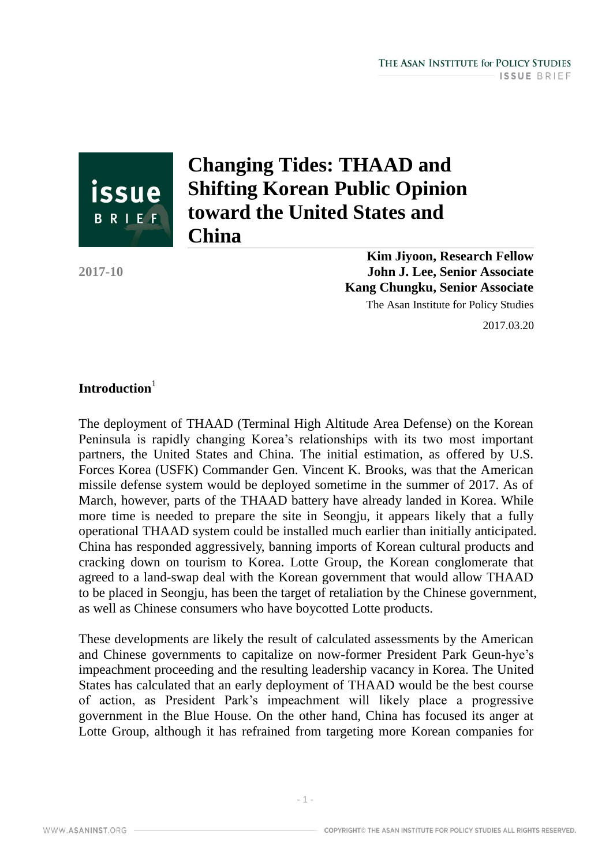

# **Changing Tides: THAAD and Shifting Korean Public Opinion toward the United States and China**

**2017-10**

**Kim Jiyoon, Research Fellow John J. Lee, Senior Associate Kang Chungku, Senior Associate** The Asan Institute for Policy Studies

2017.03.20

## Introduction<sup>1</sup>

The deployment of THAAD (Terminal High Altitude Area Defense) on the Korean Peninsula is rapidly changing Korea's relationships with its two most important partners, the United States and China. The initial estimation, as offered by U.S. Forces Korea (USFK) Commander Gen. Vincent K. Brooks, was that the American missile defense system would be deployed sometime in the summer of 2017. As of March, however, parts of the THAAD battery have already landed in Korea. While more time is needed to prepare the site in Seongju, it appears likely that a fully operational THAAD system could be installed much earlier than initially anticipated. China has responded aggressively, banning imports of Korean cultural products and cracking down on tourism to Korea. Lotte Group, the Korean conglomerate that agreed to a land-swap deal with the Korean government that would allow THAAD to be placed in Seongju, has been the target of retaliation by the Chinese government, as well as Chinese consumers who have boycotted Lotte products.

These developments are likely the result of calculated assessments by the American and Chinese governments to capitalize on now-former President Park Geun-hye's impeachment proceeding and the resulting leadership vacancy in Korea. The United States has calculated that an early deployment of THAAD would be the best course of action, as President Park's impeachment will likely place a progressive government in the Blue House. On the other hand, China has focused its anger at Lotte Group, although it has refrained from targeting more Korean companies for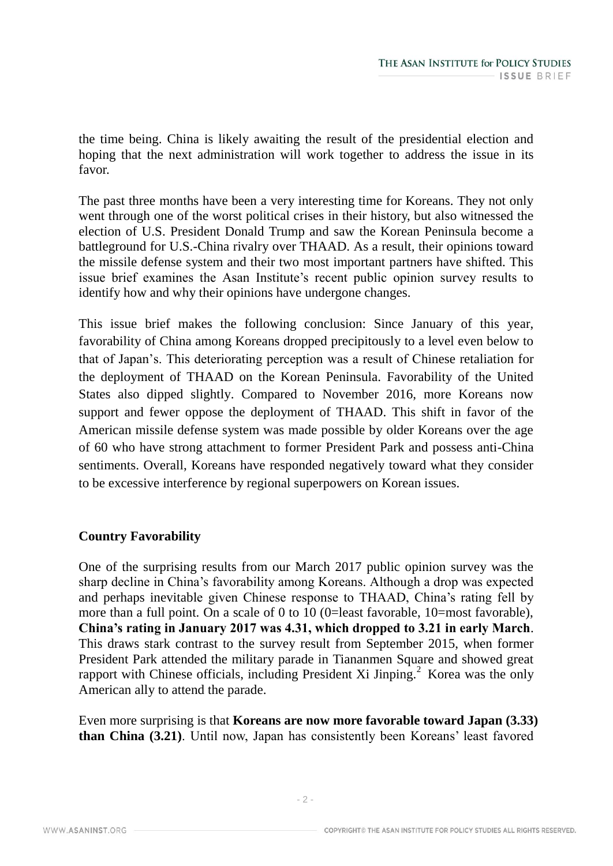the time being. China is likely awaiting the result of the presidential election and hoping that the next administration will work together to address the issue in its favor.

The past three months have been a very interesting time for Koreans. They not only went through one of the worst political crises in their history, but also witnessed the election of U.S. President Donald Trump and saw the Korean Peninsula become a battleground for U.S.-China rivalry over THAAD. As a result, their opinions toward the missile defense system and their two most important partners have shifted. This issue brief examines the Asan Institute's recent public opinion survey results to identify how and why their opinions have undergone changes.

This issue brief makes the following conclusion: Since January of this year, favorability of China among Koreans dropped precipitously to a level even below to that of Japan's. This deteriorating perception was a result of Chinese retaliation for the deployment of THAAD on the Korean Peninsula. Favorability of the United States also dipped slightly. Compared to November 2016, more Koreans now support and fewer oppose the deployment of THAAD. This shift in favor of the American missile defense system was made possible by older Koreans over the age of 60 who have strong attachment to former President Park and possess anti-China sentiments. Overall, Koreans have responded negatively toward what they consider to be excessive interference by regional superpowers on Korean issues.

# **Country Favorability**

One of the surprising results from our March 2017 public opinion survey was the sharp decline in China's favorability among Koreans. Although a drop was expected and perhaps inevitable given Chinese response to THAAD, China's rating fell by more than a full point. On a scale of 0 to 10 (0=least favorable, 10=most favorable), **China's rating in January 2017 was 4.31, which dropped to 3.21 in early March**. This draws stark contrast to the survey result from September 2015, when former President Park attended the military parade in Tiananmen Square and showed great rapport with Chinese officials, including President Xi Jinping.<sup>2</sup> Korea was the only American ally to attend the parade.

Even more surprising is that **Koreans are now more favorable toward Japan (3.33) than China (3.21)**. Until now, Japan has consistently been Koreans' least favored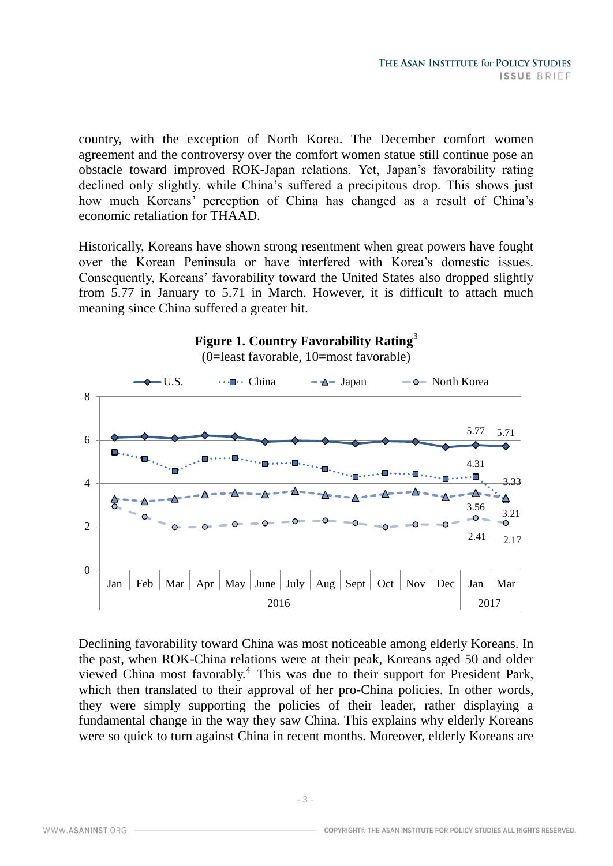country, with the exception of North Korea. The December comfort women agreement and the controversy over the comfort women statue still continue pose an obstacle toward improved ROK-Japan relations. Yet, Japan's favorability rating declined only slightly, while China's suffered a precipitous drop. This shows just how much Koreans' perception of China has changed as a result of China's economic retaliation for THAAD.

Historically, Koreans have shown strong resentment when great powers have fought over the Korean Peninsula or have interfered with Korea's domestic issues. Consequently, Koreans' favorability toward the United States also dropped slightly from 5.77 in January to 5.71 in March. However, it is difficult to attach much meaning since China suffered a greater hit.



Declining favorability toward China was most noticeable among elderly Koreans. In the past, when ROK-China relations were at their peak, Koreans aged 50 and older viewed China most favorably.<sup>4</sup> This was due to their support for President Park, which then translated to their approval of her pro-China policies. In other words, they were simply supporting the policies of their leader, rather displaying a fundamental change in the way they saw China. This explains why elderly Koreans were so quick to turn against China in recent months. Moreover, elderly Koreans are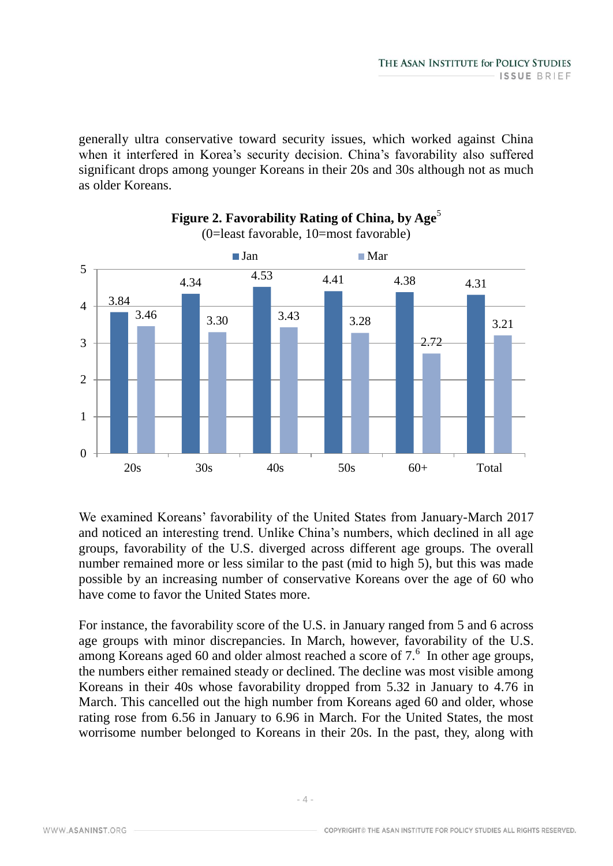generally ultra conservative toward security issues, which worked against China when it interfered in Korea's security decision. China's favorability also suffered significant drops among younger Koreans in their 20s and 30s although not as much as older Koreans.





We examined Koreans' favorability of the United States from January-March 2017 and noticed an interesting trend. Unlike China's numbers, which declined in all age groups, favorability of the U.S. diverged across different age groups. The overall number remained more or less similar to the past (mid to high 5), but this was made possible by an increasing number of conservative Koreans over the age of 60 who have come to favor the United States more.

For instance, the favorability score of the U.S. in January ranged from 5 and 6 across age groups with minor discrepancies. In March, however, favorability of the U.S. among Koreans aged 60 and older almost reached a score of  $7<sup>6</sup>$  In other age groups, the numbers either remained steady or declined. The decline was most visible among Koreans in their 40s whose favorability dropped from 5.32 in January to 4.76 in March. This cancelled out the high number from Koreans aged 60 and older, whose rating rose from 6.56 in January to 6.96 in March. For the United States, the most worrisome number belonged to Koreans in their 20s. In the past, they, along with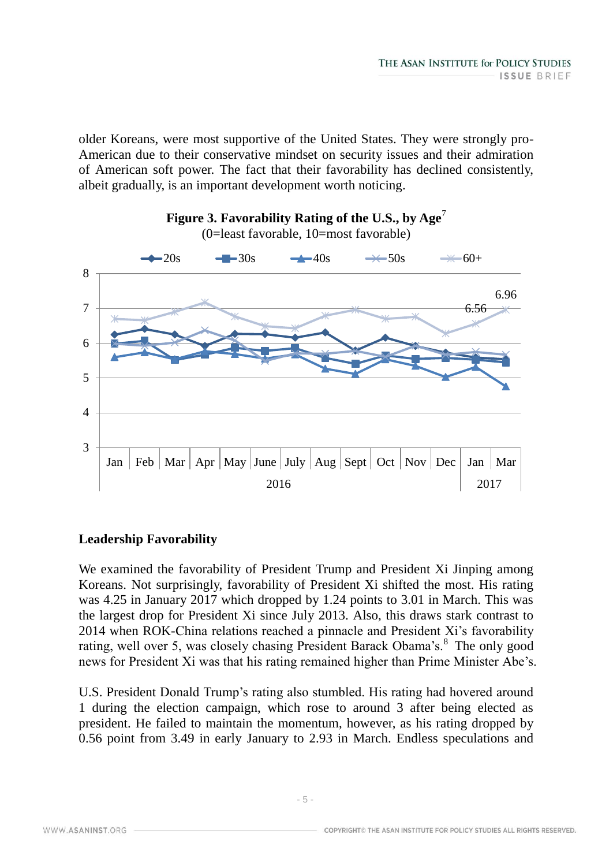older Koreans, were most supportive of the United States. They were strongly pro-American due to their conservative mindset on security issues and their admiration of American soft power. The fact that their favorability has declined consistently, albeit gradually, is an important development worth noticing.



#### **Leadership Favorability**

We examined the favorability of President Trump and President Xi Jinping among Koreans. Not surprisingly, favorability of President Xi shifted the most. His rating was 4.25 in January 2017 which dropped by 1.24 points to 3.01 in March. This was the largest drop for President Xi since July 2013. Also, this draws stark contrast to 2014 when ROK-China relations reached a pinnacle and President Xi's favorability rating, well over 5, was closely chasing President Barack Obama's.<sup>8</sup> The only good news for President Xi was that his rating remained higher than Prime Minister Abe's.

U.S. President Donald Trump's rating also stumbled. His rating had hovered around 1 during the election campaign, which rose to around 3 after being elected as president. He failed to maintain the momentum, however, as his rating dropped by 0.56 point from 3.49 in early January to 2.93 in March. Endless speculations and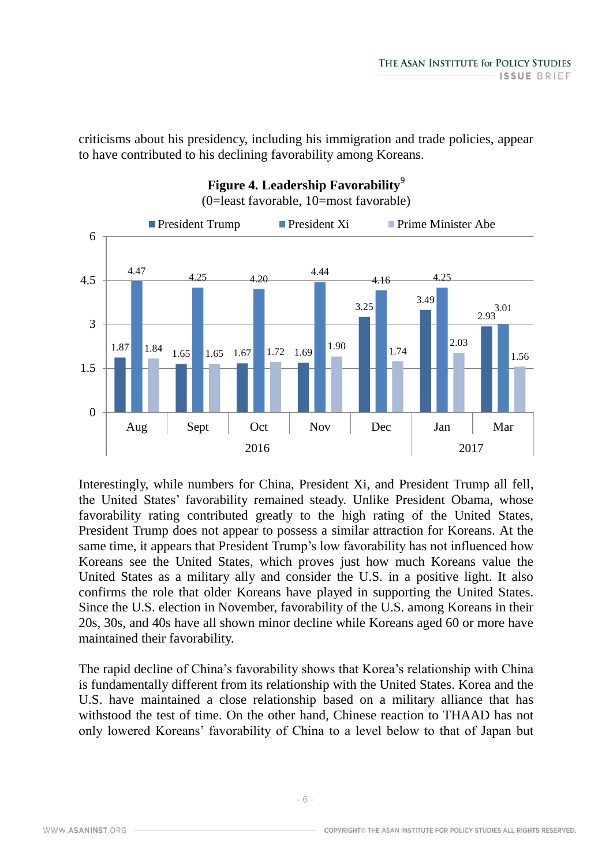criticisms about his presidency, including his immigration and trade policies, appear to have contributed to his declining favorability among Koreans.



Interestingly, while numbers for China, President Xi, and President Trump all fell, the United States' favorability remained steady. Unlike President Obama, whose favorability rating contributed greatly to the high rating of the United States, President Trump does not appear to possess a similar attraction for Koreans. At the same time, it appears that President Trump's low favorability has not influenced how Koreans see the United States, which proves just how much Koreans value the United States as a military ally and consider the U.S. in a positive light. It also confirms the role that older Koreans have played in supporting the United States. Since the U.S. election in November, favorability of the U.S. among Koreans in their 20s, 30s, and 40s have all shown minor decline while Koreans aged 60 or more have maintained their favorability.

The rapid decline of China's favorability shows that Korea's relationship with China is fundamentally different from its relationship with the United States. Korea and the U.S. have maintained a close relationship based on a military alliance that has withstood the test of time. On the other hand, Chinese reaction to THAAD has not only lowered Koreans' favorability of China to a level below to that of Japan but

WWW.ASANINST.ORG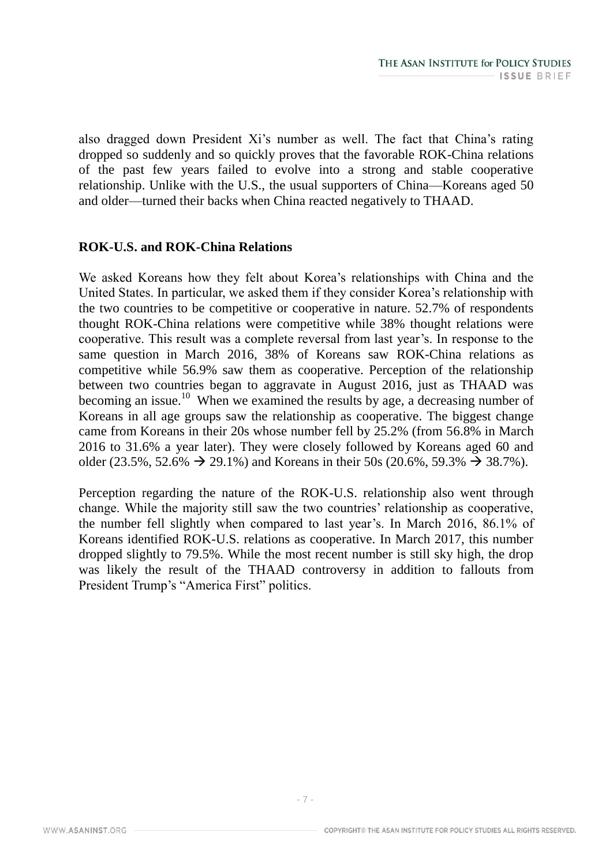also dragged down President Xi's number as well. The fact that China's rating dropped so suddenly and so quickly proves that the favorable ROK-China relations of the past few years failed to evolve into a strong and stable cooperative relationship. Unlike with the U.S., the usual supporters of China—Koreans aged 50 and older—turned their backs when China reacted negatively to THAAD.

## **ROK-U.S. and ROK-China Relations**

We asked Koreans how they felt about Korea's relationships with China and the United States. In particular, we asked them if they consider Korea's relationship with the two countries to be competitive or cooperative in nature. 52.7% of respondents thought ROK-China relations were competitive while 38% thought relations were cooperative. This result was a complete reversal from last year's. In response to the same question in March 2016, 38% of Koreans saw ROK-China relations as competitive while 56.9% saw them as cooperative. Perception of the relationship between two countries began to aggravate in August 2016, just as THAAD was becoming an issue.<sup>10</sup> When we examined the results by age, a decreasing number of Koreans in all age groups saw the relationship as cooperative. The biggest change came from Koreans in their 20s whose number fell by 25.2% (from 56.8% in March 2016 to 31.6% a year later). They were closely followed by Koreans aged 60 and older (23.5%, 52.6%  $\rightarrow$  29.1%) and Koreans in their 50s (20.6%, 59.3%  $\rightarrow$  38.7%).

Perception regarding the nature of the ROK-U.S. relationship also went through change. While the majority still saw the two countries' relationship as cooperative, the number fell slightly when compared to last year's. In March 2016, 86.1% of Koreans identified ROK-U.S. relations as cooperative. In March 2017, this number dropped slightly to 79.5%. While the most recent number is still sky high, the drop was likely the result of the THAAD controversy in addition to fallouts from President Trump's "America First" politics.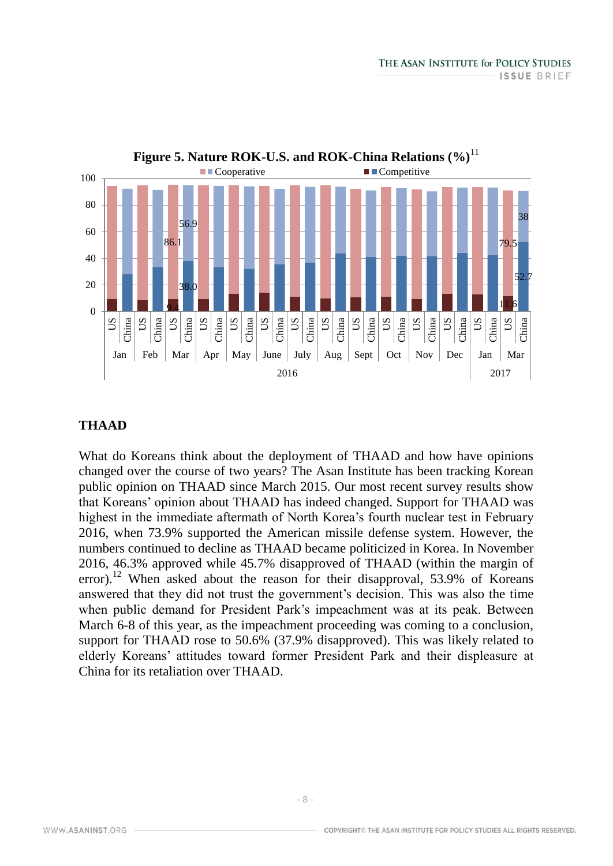

#### **THAAD**

What do Koreans think about the deployment of THAAD and how have opinions changed over the course of two years? The Asan Institute has been tracking Korean public opinion on THAAD since March 2015. Our most recent survey results show that Koreans' opinion about THAAD has indeed changed. Support for THAAD was highest in the immediate aftermath of North Korea's fourth nuclear test in February 2016, when 73.9% supported the American missile defense system. However, the numbers continued to decline as THAAD became politicized in Korea. In November 2016, 46.3% approved while 45.7% disapproved of THAAD (within the margin of error).<sup>12</sup> When asked about the reason for their disapproval, 53.9% of Koreans answered that they did not trust the government's decision. This was also the time when public demand for President Park's impeachment was at its peak. Between March 6-8 of this year, as the impeachment proceeding was coming to a conclusion, support for THAAD rose to 50.6% (37.9% disapproved). This was likely related to elderly Koreans' attitudes toward former President Park and their displeasure at China for its retaliation over THAAD.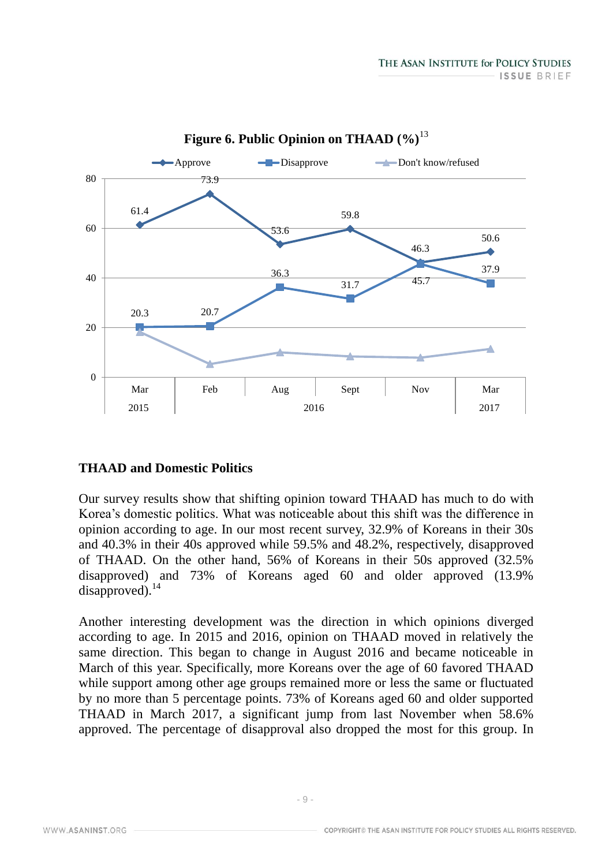

**Figure 6. Public Opinion on THAAD (%)**<sup>13</sup>

#### **THAAD and Domestic Politics**

Our survey results show that shifting opinion toward THAAD has much to do with Korea's domestic politics. What was noticeable about this shift was the difference in opinion according to age. In our most recent survey, 32.9% of Koreans in their 30s and 40.3% in their 40s approved while 59.5% and 48.2%, respectively, disapproved of THAAD. On the other hand, 56% of Koreans in their 50s approved (32.5% disapproved) and 73% of Koreans aged 60 and older approved (13.9% disapproved).<sup>14</sup>

Another interesting development was the direction in which opinions diverged according to age. In 2015 and 2016, opinion on THAAD moved in relatively the same direction. This began to change in August 2016 and became noticeable in March of this year. Specifically, more Koreans over the age of 60 favored THAAD while support among other age groups remained more or less the same or fluctuated by no more than 5 percentage points. 73% of Koreans aged 60 and older supported THAAD in March 2017, a significant jump from last November when 58.6% approved. The percentage of disapproval also dropped the most for this group. In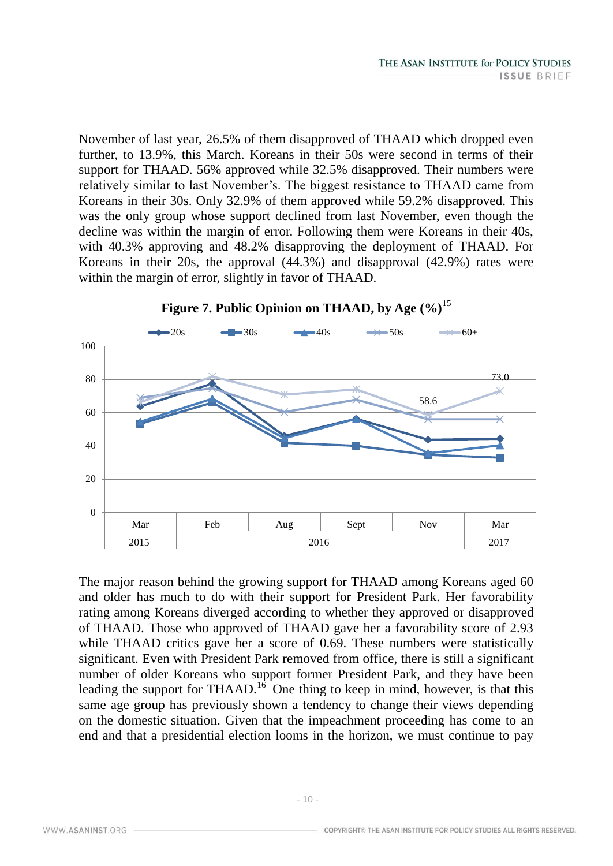November of last year, 26.5% of them disapproved of THAAD which dropped even further, to 13.9%, this March. Koreans in their 50s were second in terms of their support for THAAD. 56% approved while 32.5% disapproved. Their numbers were relatively similar to last November's. The biggest resistance to THAAD came from Koreans in their 30s. Only 32.9% of them approved while 59.2% disapproved. This was the only group whose support declined from last November, even though the decline was within the margin of error. Following them were Koreans in their 40s, with 40.3% approving and 48.2% disapproving the deployment of THAAD. For Koreans in their 20s, the approval (44.3%) and disapproval (42.9%) rates were within the margin of error, slightly in favor of THAAD.



**Figure 7. Public Opinion on THAAD, by Age (%)**<sup>15</sup>

The major reason behind the growing support for THAAD among Koreans aged 60 and older has much to do with their support for President Park. Her favorability rating among Koreans diverged according to whether they approved or disapproved of THAAD. Those who approved of THAAD gave her a favorability score of 2.93 while THAAD critics gave her a score of 0.69. These numbers were statistically significant. Even with President Park removed from office, there is still a significant number of older Koreans who support former President Park, and they have been leading the support for THAAD.<sup>16</sup> One thing to keep in mind, however, is that this same age group has previously shown a tendency to change their views depending on the domestic situation. Given that the impeachment proceeding has come to an end and that a presidential election looms in the horizon, we must continue to pay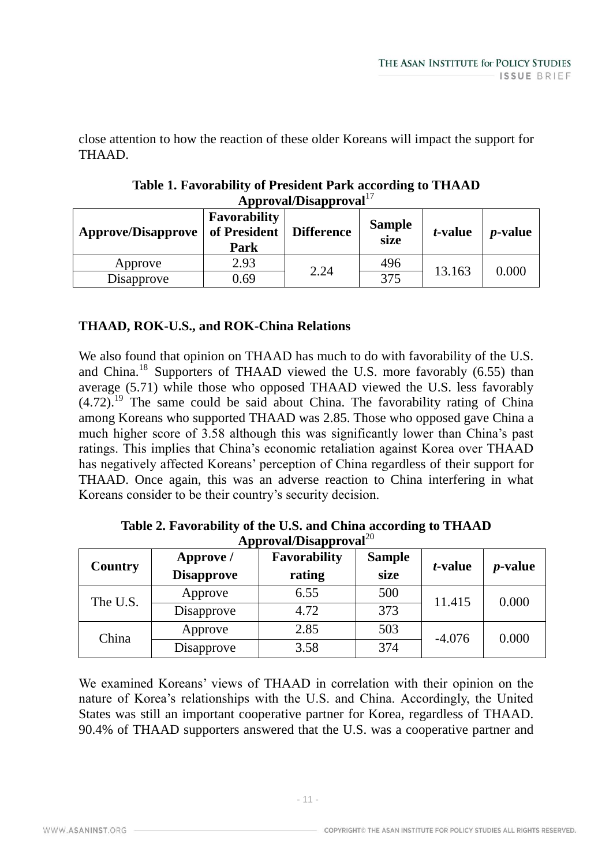close attention to how the reaction of these older Koreans will impact the support for THAAD.

| Approval/Disapproval      |                                             |                   |                       |                 |                 |  |  |
|---------------------------|---------------------------------------------|-------------------|-----------------------|-----------------|-----------------|--|--|
| <b>Approve/Disapprove</b> | <b>Favorability</b><br>of President<br>Park | <b>Difference</b> | <b>Sample</b><br>size | <i>t</i> -value | <i>p</i> -value |  |  |
| Approve                   | 2.93                                        | 2.24              | 496                   | 13.163          | 0.000           |  |  |
| Disapprove                | 0.69                                        |                   | 375                   |                 |                 |  |  |

# **Table 1. Favorability of President Park according to THAAD Approval/Disapproval**<sup>17</sup>

# **THAAD, ROK-U.S., and ROK-China Relations**

We also found that opinion on THAAD has much to do with favorability of the U.S. and China.<sup>18</sup> Supporters of THAAD viewed the U.S. more favorably (6.55) than average (5.71) while those who opposed THAAD viewed the U.S. less favorably  $(4.72)$ .<sup>19</sup> The same could be said about China. The favorability rating of China among Koreans who supported THAAD was 2.85. Those who opposed gave China a much higher score of 3.58 although this was significantly lower than China's past ratings. This implies that China's economic retaliation against Korea over THAAD has negatively affected Koreans' perception of China regardless of their support for THAAD. Once again, this was an adverse reaction to China interfering in what Koreans consider to be their country's security decision.

| Country  | Approve /<br><b>Disapprove</b> | <b>Favorability</b><br>rating | <b>Sample</b><br>size | <i>t</i> -value | <i>p</i> -value |
|----------|--------------------------------|-------------------------------|-----------------------|-----------------|-----------------|
| The U.S. | Approve                        | 6.55                          | 500                   | 11.415          | 0.000           |
|          | Disapprove                     | 4.72                          | 373                   |                 |                 |
| China    | Approve                        | 2.85                          | 503                   | $-4.076$        | 0.000           |
|          | Disapprove                     | 3.58                          | 374                   |                 |                 |

**Table 2. Favorability of the U.S. and China according to THAAD Approval/Disapproval**<sup>20</sup>

We examined Koreans' views of THAAD in correlation with their opinion on the nature of Korea's relationships with the U.S. and China. Accordingly, the United States was still an important cooperative partner for Korea, regardless of THAAD. 90.4% of THAAD supporters answered that the U.S. was a cooperative partner and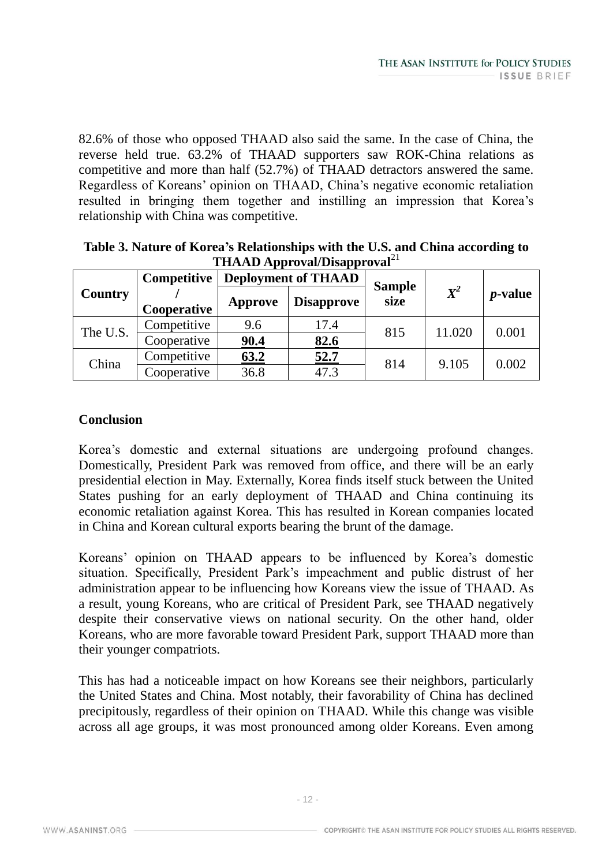82.6% of those who opposed THAAD also said the same. In the case of China, the reverse held true. 63.2% of THAAD supporters saw ROK-China relations as competitive and more than half (52.7%) of THAAD detractors answered the same. Regardless of Koreans' opinion on THAAD, China's negative economic retaliation resulted in bringing them together and instilling an impression that Korea's relationship with China was competitive.

| 111AAD Apploval Disapploval |             |                            |                   |               |        |                 |  |
|-----------------------------|-------------|----------------------------|-------------------|---------------|--------|-----------------|--|
| <b>Country</b>              | Competitive | <b>Deployment of THAAD</b> |                   | <b>Sample</b> |        |                 |  |
|                             |             | Approve                    | <b>Disapprove</b> | size          | $X^2$  | <i>p</i> -value |  |
|                             | Cooperative |                            |                   |               |        |                 |  |
| The U.S.                    | Competitive | 9.6                        | 17.4              | 815           | 11.020 | 0.001           |  |
|                             | Cooperative | 90.4                       | 82.6              |               |        |                 |  |
| China                       | Competitive | 63.2                       | 52.7              | 814           | 9.105  | 0.002           |  |
|                             | Cooperative | 36.8                       | 47.3              |               |        |                 |  |

**Table 3. Nature of Korea's Relationships with the U.S. and China according to THAAD Approval/Disapproval**<sup>21</sup>

# **Conclusion**

Korea's domestic and external situations are undergoing profound changes. Domestically, President Park was removed from office, and there will be an early presidential election in May. Externally, Korea finds itself stuck between the United States pushing for an early deployment of THAAD and China continuing its economic retaliation against Korea. This has resulted in Korean companies located in China and Korean cultural exports bearing the brunt of the damage.

Koreans' opinion on THAAD appears to be influenced by Korea's domestic situation. Specifically, President Park's impeachment and public distrust of her administration appear to be influencing how Koreans view the issue of THAAD. As a result, young Koreans, who are critical of President Park, see THAAD negatively despite their conservative views on national security. On the other hand, older Koreans, who are more favorable toward President Park, support THAAD more than their younger compatriots.

This has had a noticeable impact on how Koreans see their neighbors, particularly the United States and China. Most notably, their favorability of China has declined precipitously, regardless of their opinion on THAAD. While this change was visible across all age groups, it was most pronounced among older Koreans. Even among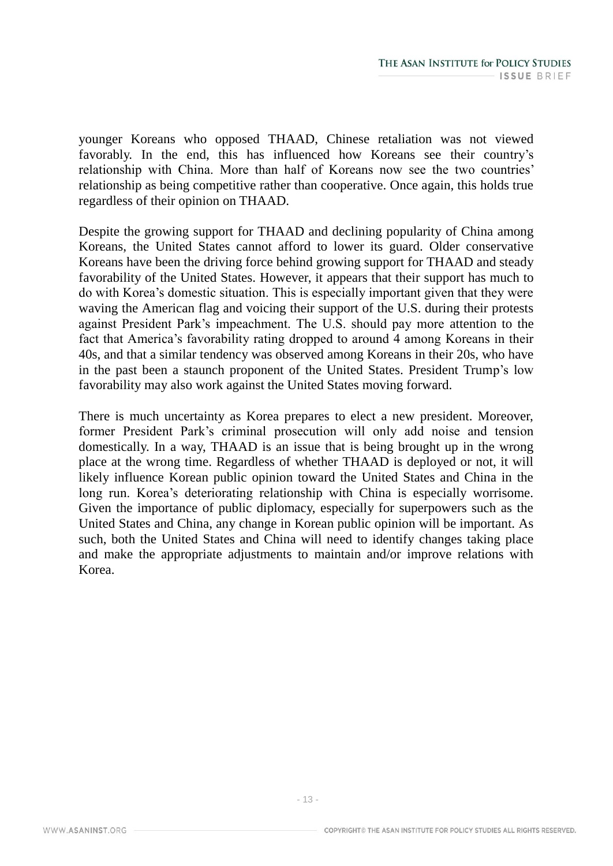younger Koreans who opposed THAAD, Chinese retaliation was not viewed favorably. In the end, this has influenced how Koreans see their country's relationship with China. More than half of Koreans now see the two countries' relationship as being competitive rather than cooperative. Once again, this holds true regardless of their opinion on THAAD.

Despite the growing support for THAAD and declining popularity of China among Koreans, the United States cannot afford to lower its guard. Older conservative Koreans have been the driving force behind growing support for THAAD and steady favorability of the United States. However, it appears that their support has much to do with Korea's domestic situation. This is especially important given that they were waving the American flag and voicing their support of the U.S. during their protests against President Park's impeachment. The U.S. should pay more attention to the fact that America's favorability rating dropped to around 4 among Koreans in their 40s, and that a similar tendency was observed among Koreans in their 20s, who have in the past been a staunch proponent of the United States. President Trump's low favorability may also work against the United States moving forward.

There is much uncertainty as Korea prepares to elect a new president. Moreover, former President Park's criminal prosecution will only add noise and tension domestically. In a way, THAAD is an issue that is being brought up in the wrong place at the wrong time. Regardless of whether THAAD is deployed or not, it will likely influence Korean public opinion toward the United States and China in the long run. Korea's deteriorating relationship with China is especially worrisome. Given the importance of public diplomacy, especially for superpowers such as the United States and China, any change in Korean public opinion will be important. As such, both the United States and China will need to identify changes taking place and make the appropriate adjustments to maintain and/or improve relations with Korea.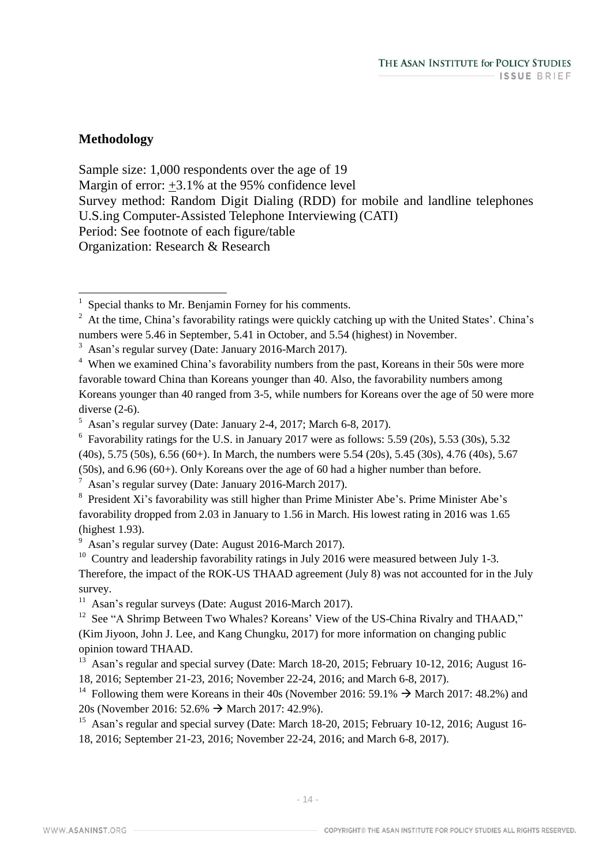## **Methodology**

Sample size: 1,000 respondents over the age of 19 Margin of error: +3.1% at the 95% confidence level Survey method: Random Digit Dialing (RDD) for mobile and landline telephones U.S.ing Computer-Assisted Telephone Interviewing (CATI) Period: See footnote of each figure/table Organization: Research & Research

 $^7$  Asan's regular survey (Date: January 2016-March 2017).

<sup>9</sup> Asan's regular survey (Date: August 2016-March 2017).

 $11$  Asan's regular surveys (Date: August 2016-March 2017).

<sup>12</sup> See "A Shrimp Between Two Whales? Koreans' View of the US-China Rivalry and THAAD," (Kim Jiyoon, John J. Lee, and Kang Chungku, 2017) for more information on changing public opinion toward THAAD.

<sup>13</sup> Asan's regular and special survey (Date: March 18-20, 2015; February 10-12, 2016; August 16-18, 2016; September 21-23, 2016; November 22-24, 2016; and March 6-8, 2017).

<sup>14</sup> Following them were Koreans in their 40s (November 2016: 59.1%  $\rightarrow$  March 2017: 48.2%) and 20s (November 2016: 52.6%  $\rightarrow$  March 2017: 42.9%).

<sup>15</sup> Asan's regular and special survey (Date: March 18-20, 2015; February 10-12, 2016; August 16-18, 2016; September 21-23, 2016; November 22-24, 2016; and March 6-8, 2017).

 1 Special thanks to Mr. Benjamin Forney for his comments.

 $2 \text{ At the time, China's favorability ratings were quickly catching up with the United States'. China's$ numbers were 5.46 in September, 5.41 in October, and 5.54 (highest) in November.

<sup>3</sup> Asan's regular survey (Date: January 2016-March 2017).

<sup>&</sup>lt;sup>4</sup> When we examined China's favorability numbers from the past, Koreans in their 50s were more favorable toward China than Koreans younger than 40. Also, the favorability numbers among Koreans younger than 40 ranged from 3-5, while numbers for Koreans over the age of 50 were more diverse (2-6).

 $<sup>5</sup>$  Asan's regular survey (Date: January 2-4, 2017; March 6-8, 2017).</sup>

 $6$  Favorability ratings for the U.S. in January 2017 were as follows: 5.59 (20s), 5.53 (30s), 5.32 (40s), 5.75 (50s), 6.56 (60+). In March, the numbers were 5.54 (20s), 5.45 (30s), 4.76 (40s), 5.67 (50s), and 6.96 (60+). Only Koreans over the age of 60 had a higher number than before.

 $8$  President Xi's favorability was still higher than Prime Minister Abe's. Prime Minister Abe's favorability dropped from 2.03 in January to 1.56 in March. His lowest rating in 2016 was 1.65 (highest 1.93).

<sup>&</sup>lt;sup>10</sup> Country and leadership favorability ratings in July 2016 were measured between July 1-3. Therefore, the impact of the ROK-US THAAD agreement (July 8) was not accounted for in the July survey.